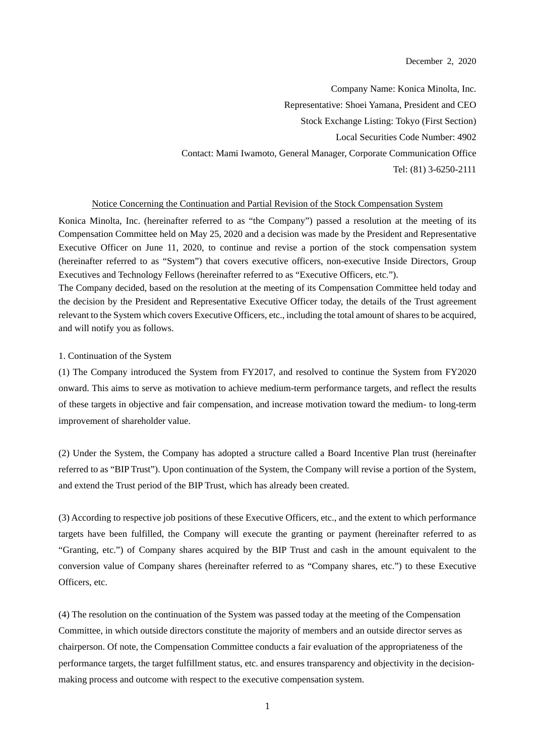Company Name: Konica Minolta, Inc. Representative: Shoei Yamana, President and CEO Stock Exchange Listing: Tokyo (First Section) Local Securities Code Number: 4902 Contact: Mami Iwamoto, General Manager, Corporate Communication Office Tel: (81) 3-6250-2111

# Notice Concerning the Continuation and Partial Revision of the Stock Compensation System

Konica Minolta, Inc. (hereinafter referred to as "the Company") passed a resolution at the meeting of its Compensation Committee held on May 25, 2020 and a decision was made by the President and Representative Executive Officer on June 11, 2020, to continue and revise a portion of the stock compensation system (hereinafter referred to as "System") that covers executive officers, non-executive Inside Directors, Group Executives and Technology Fellows (hereinafter referred to as "Executive Officers, etc.").

The Company decided, based on the resolution at the meeting of its Compensation Committee held today and the decision by the President and Representative Executive Officer today, the details of the Trust agreement relevant to the System which covers Executive Officers, etc., including the total amount of shares to be acquired, and will notify you as follows.

### 1. Continuation of the System

(1) The Company introduced the System from FY2017, and resolved to continue the System from FY2020 onward. This aims to serve as motivation to achieve medium-term performance targets, and reflect the results of these targets in objective and fair compensation, and increase motivation toward the medium- to long-term improvement of shareholder value.

(2) Under the System, the Company has adopted a structure called a Board Incentive Plan trust (hereinafter referred to as "BIP Trust"). Upon continuation of the System, the Company will revise a portion of the System, and extend the Trust period of the BIP Trust, which has already been created.

(3) According to respective job positions of these Executive Officers, etc., and the extent to which performance targets have been fulfilled, the Company will execute the granting or payment (hereinafter referred to as "Granting, etc.") of Company shares acquired by the BIP Trust and cash in the amount equivalent to the conversion value of Company shares (hereinafter referred to as "Company shares, etc.") to these Executive Officers, etc.

(4) The resolution on the continuation of the System was passed today at the meeting of the Compensation Committee, in which outside directors constitute the majority of members and an outside director serves as chairperson. Of note, the Compensation Committee conducts a fair evaluation of the appropriateness of the performance targets, the target fulfillment status, etc. and ensures transparency and objectivity in the decisionmaking process and outcome with respect to the executive compensation system.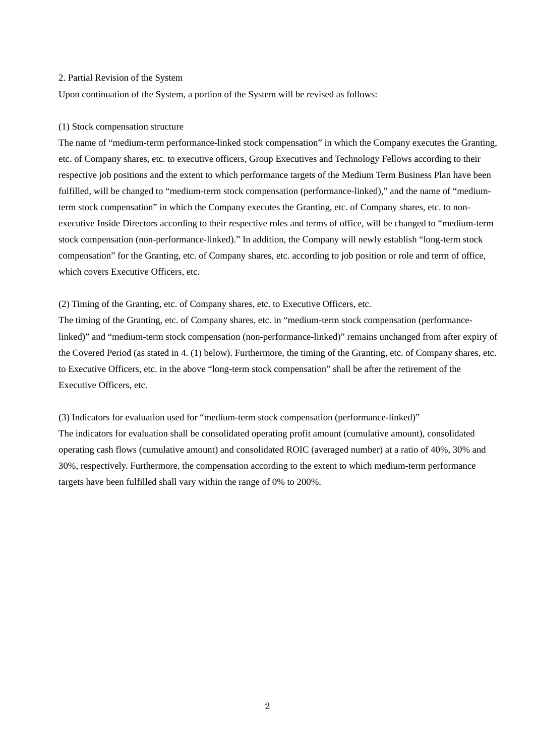#### 2. Partial Revision of the System

Upon continuation of the System, a portion of the System will be revised as follows:

### (1) Stock compensation structure

The name of "medium-term performance-linked stock compensation" in which the Company executes the Granting, etc. of Company shares, etc. to executive officers, Group Executives and Technology Fellows according to their respective job positions and the extent to which performance targets of the Medium Term Business Plan have been fulfilled, will be changed to "medium-term stock compensation (performance-linked)," and the name of "mediumterm stock compensation" in which the Company executes the Granting, etc. of Company shares, etc. to nonexecutive Inside Directors according to their respective roles and terms of office, will be changed to "medium-term stock compensation (non-performance-linked)." In addition, the Company will newly establish "long-term stock compensation" for the Granting, etc. of Company shares, etc. according to job position or role and term of office, which covers Executive Officers, etc.

### (2) Timing of the Granting, etc. of Company shares, etc. to Executive Officers, etc.

The timing of the Granting, etc. of Company shares, etc. in "medium-term stock compensation (performancelinked)" and "medium-term stock compensation (non-performance-linked)" remains unchanged from after expiry of the Covered Period (as stated in 4. (1) below). Furthermore, the timing of the Granting, etc. of Company shares, etc. to Executive Officers, etc. in the above "long-term stock compensation" shall be after the retirement of the Executive Officers, etc.

(3) Indicators for evaluation used for "medium-term stock compensation (performance-linked)" The indicators for evaluation shall be consolidated operating profit amount (cumulative amount), consolidated operating cash flows (cumulative amount) and consolidated ROIC (averaged number) at a ratio of 40%, 30% and 30%, respectively. Furthermore, the compensation according to the extent to which medium-term performance targets have been fulfilled shall vary within the range of 0% to 200%.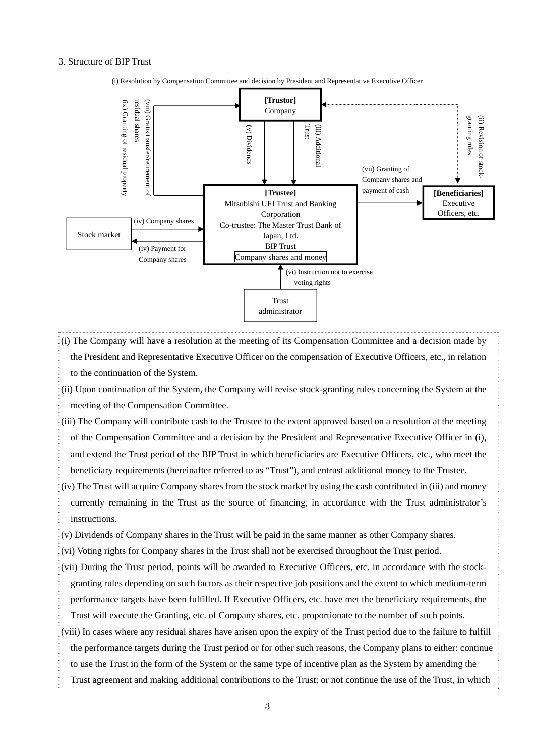#### 3. Structure of BIP Trust



(i) Resolution by Compensation Committee and decision by President and Representative Executive Officer

- (i) The Company will have a resolution at the meeting of its Compensation Committee and a decision made by the President and Representative Executive Officer on the compensation of Executive Officers, etc., in relation to the continuation of the System.
- (ii) Upon continuation of the System, the Company will revise stock-granting rules concerning the System at the meeting of the Compensation Committee.
- (iii) The Company will contribute cash to the Trustee to the extent approved based on a resolution at the meeting of the Compensation Committee and a decision by the President and Representative Executive Officer in (i), and extend the Trust period of the BIP Trust in which beneficiaries are Executive Officers, etc., who meet the beneficiary requirements (hereinafter referred to as "Trust"), and entrust additional money to the Trustee.
- (iv) The Trust will acquire Company shares from the stock market by using the cash contributed in (iii) and money currently remaining in the Trust as the source of financing, in accordance with the Trust administrator's instructions.

(v) Dividends of Company shares in the Trust will be paid in the same manner as other Company shares.

- (vi) Voting rights for Company shares in the Trust shall not be exercised throughout the Trust period.
- (vii) During the Trust period, points will be awarded to Executive Officers, etc. in accordance with the stockgranting rules depending on such factors as their respective job positions and the extent to which medium-term performance targets have been fulfilled. If Executive Officers, etc. have met the beneficiary requirements, the Trust will execute the Granting, etc. of Company shares, etc. proportionate to the number of such points.
- (viii) In cases where any residual shares have arisen upon the expiry of the Trust period due to the failure to fulfill the performance targets during the Trust period or for other such reasons, the Company plans to either: continue

to use the Trust in the form of the System or the same type of incentive plan as the System by amending the

Trust agreement and making additional contributions to the Trust; or not continue the use of the Trust, in which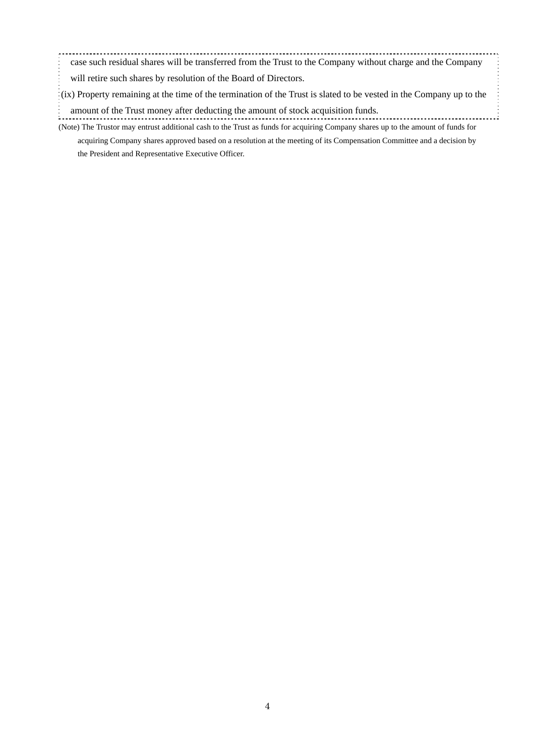case such residual shares will be transferred from the Trust to the Company without charge and the Company will retire such shares by resolution of the Board of Directors.

(ix) Property remaining at the time of the termination of the Trust is slated to be vested in the Company up to the

- (Note) The Trustor may entrust additional cash to the Trust as funds for acquiring Company shares up to the amount of funds for amount of the Trust money after deducting the amount of stock acquisition funds.
	- acquiring Company shares approved based on a resolution at the meeting of its Compensation Committee and a decision by the President and Representative Executive Officer.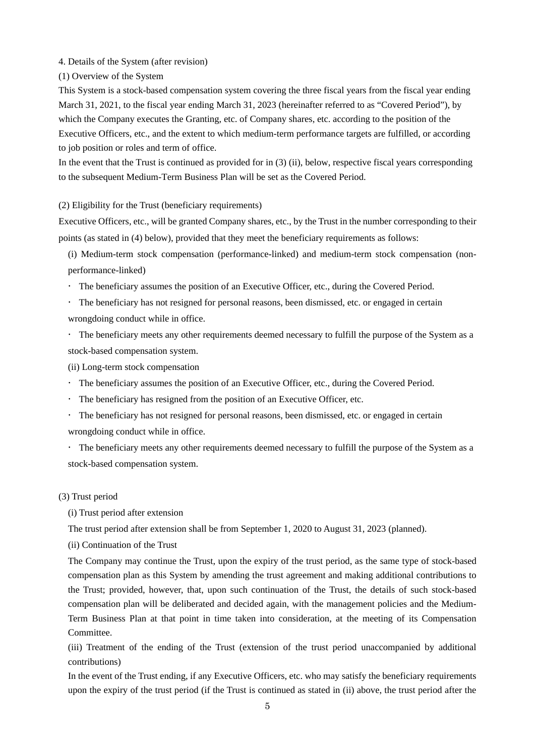4. Details of the System (after revision)

(1) Overview of the System

This System is a stock-based compensation system covering the three fiscal years from the fiscal year ending March 31, 2021, to the fiscal year ending March 31, 2023 (hereinafter referred to as "Covered Period"), by which the Company executes the Granting, etc. of Company shares, etc. according to the position of the Executive Officers, etc., and the extent to which medium-term performance targets are fulfilled, or according to job position or roles and term of office.

In the event that the Trust is continued as provided for in (3) (ii), below, respective fiscal years corresponding to the subsequent Medium-Term Business Plan will be set as the Covered Period.

(2) Eligibility for the Trust (beneficiary requirements)

Executive Officers, etc., will be granted Company shares, etc., by the Trust in the number corresponding to their points (as stated in (4) below), provided that they meet the beneficiary requirements as follows:

(i) Medium-term stock compensation (performance-linked) and medium-term stock compensation (nonperformance-linked)

The beneficiary assumes the position of an Executive Officer, etc., during the Covered Period.

 The beneficiary has not resigned for personal reasons, been dismissed, etc. or engaged in certain wrongdoing conduct while in office.

 The beneficiary meets any other requirements deemed necessary to fulfill the purpose of the System as a stock-based compensation system.

(ii) Long-term stock compensation

- The beneficiary assumes the position of an Executive Officer, etc., during the Covered Period.
- The beneficiary has resigned from the position of an Executive Officer, etc.
- The beneficiary has not resigned for personal reasons, been dismissed, etc. or engaged in certain wrongdoing conduct while in office.

 The beneficiary meets any other requirements deemed necessary to fulfill the purpose of the System as a stock-based compensation system.

### (3) Trust period

(i) Trust period after extension

The trust period after extension shall be from September 1, 2020 to August 31, 2023 (planned).

(ii) Continuation of the Trust

The Company may continue the Trust, upon the expiry of the trust period, as the same type of stock-based compensation plan as this System by amending the trust agreement and making additional contributions to the Trust; provided, however, that, upon such continuation of the Trust, the details of such stock-based compensation plan will be deliberated and decided again, with the management policies and the Medium-Term Business Plan at that point in time taken into consideration, at the meeting of its Compensation Committee.

(iii) Treatment of the ending of the Trust (extension of the trust period unaccompanied by additional contributions)

In the event of the Trust ending, if any Executive Officers, etc. who may satisfy the beneficiary requirements upon the expiry of the trust period (if the Trust is continued as stated in (ii) above, the trust period after the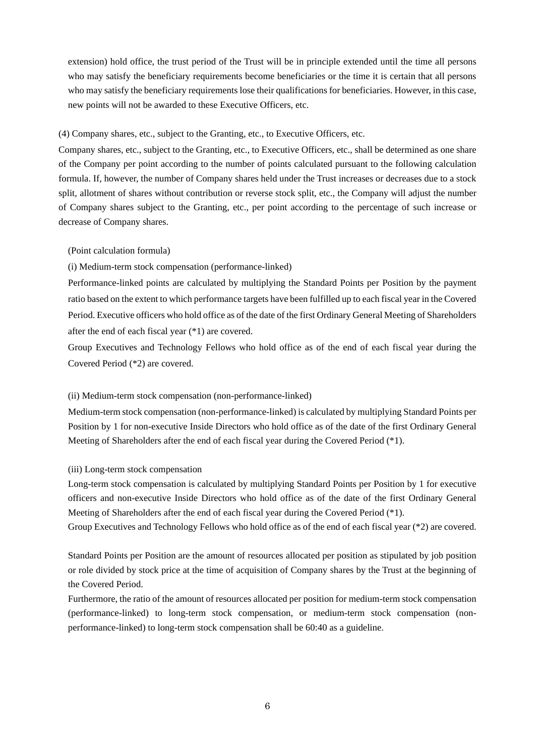extension) hold office, the trust period of the Trust will be in principle extended until the time all persons who may satisfy the beneficiary requirements become beneficiaries or the time it is certain that all persons who may satisfy the beneficiary requirements lose their qualifications for beneficiaries. However, in this case, new points will not be awarded to these Executive Officers, etc.

# (4) Company shares, etc., subject to the Granting, etc., to Executive Officers, etc.

Company shares, etc., subject to the Granting, etc., to Executive Officers, etc., shall be determined as one share of the Company per point according to the number of points calculated pursuant to the following calculation formula. If, however, the number of Company shares held under the Trust increases or decreases due to a stock split, allotment of shares without contribution or reverse stock split, etc., the Company will adjust the number of Company shares subject to the Granting, etc., per point according to the percentage of such increase or decrease of Company shares.

# (Point calculation formula)

(i) Medium-term stock compensation (performance-linked)

Performance-linked points are calculated by multiplying the Standard Points per Position by the payment ratio based on the extent to which performance targets have been fulfilled up to each fiscal year in the Covered Period. Executive officers who hold office as of the date of the first Ordinary General Meeting of Shareholders after the end of each fiscal year (\*1) are covered.

Group Executives and Technology Fellows who hold office as of the end of each fiscal year during the Covered Period (\*2) are covered.

# (ii) Medium-term stock compensation (non-performance-linked)

Medium-term stock compensation (non-performance-linked) is calculated by multiplying Standard Points per Position by 1 for non-executive Inside Directors who hold office as of the date of the first Ordinary General Meeting of Shareholders after the end of each fiscal year during the Covered Period (\*1).

# (iii) Long-term stock compensation

Long-term stock compensation is calculated by multiplying Standard Points per Position by 1 for executive officers and non-executive Inside Directors who hold office as of the date of the first Ordinary General Meeting of Shareholders after the end of each fiscal year during the Covered Period (\*1).

Group Executives and Technology Fellows who hold office as of the end of each fiscal year (\*2) are covered.

Standard Points per Position are the amount of resources allocated per position as stipulated by job position or role divided by stock price at the time of acquisition of Company shares by the Trust at the beginning of the Covered Period.

Furthermore, the ratio of the amount of resources allocated per position for medium-term stock compensation (performance-linked) to long-term stock compensation, or medium-term stock compensation (nonperformance-linked) to long-term stock compensation shall be 60:40 as a guideline.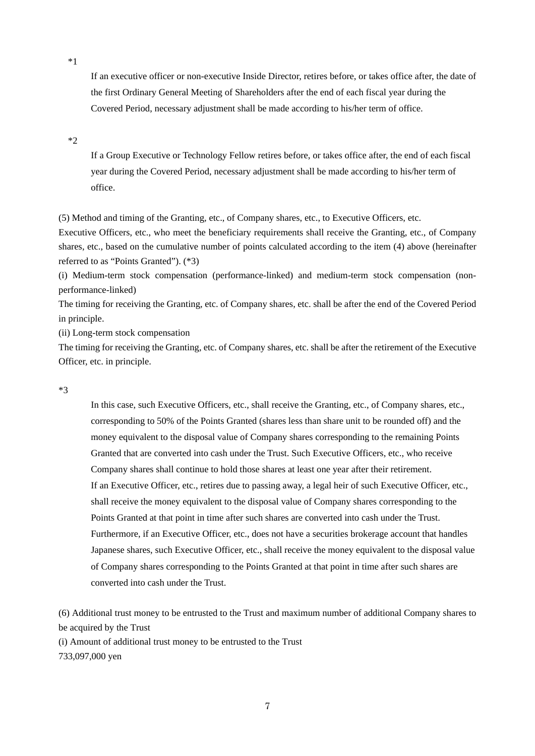\*1

If an executive officer or non-executive Inside Director, retires before, or takes office after, the date of the first Ordinary General Meeting of Shareholders after the end of each fiscal year during the Covered Period, necessary adjustment shall be made according to his/her term of office.

\*2

If a Group Executive or Technology Fellow retires before, or takes office after, the end of each fiscal year during the Covered Period, necessary adjustment shall be made according to his/her term of office.

(5) Method and timing of the Granting, etc., of Company shares, etc., to Executive Officers, etc.

Executive Officers, etc., who meet the beneficiary requirements shall receive the Granting, etc., of Company shares, etc., based on the cumulative number of points calculated according to the item (4) above (hereinafter referred to as "Points Granted"). (\*3)

(i) Medium-term stock compensation (performance-linked) and medium-term stock compensation (nonperformance-linked)

The timing for receiving the Granting, etc. of Company shares, etc. shall be after the end of the Covered Period in principle.

(ii) Long-term stock compensation

The timing for receiving the Granting, etc. of Company shares, etc. shall be after the retirement of the Executive Officer, etc. in principle.

\*3

In this case, such Executive Officers, etc., shall receive the Granting, etc., of Company shares, etc., corresponding to 50% of the Points Granted (shares less than share unit to be rounded off) and the money equivalent to the disposal value of Company shares corresponding to the remaining Points Granted that are converted into cash under the Trust. Such Executive Officers, etc., who receive Company shares shall continue to hold those shares at least one year after their retirement. If an Executive Officer, etc., retires due to passing away, a legal heir of such Executive Officer, etc., shall receive the money equivalent to the disposal value of Company shares corresponding to the Points Granted at that point in time after such shares are converted into cash under the Trust. Furthermore, if an Executive Officer, etc., does not have a securities brokerage account that handles Japanese shares, such Executive Officer, etc., shall receive the money equivalent to the disposal value of Company shares corresponding to the Points Granted at that point in time after such shares are converted into cash under the Trust.

(6) Additional trust money to be entrusted to the Trust and maximum number of additional Company shares to be acquired by the Trust

(i) Amount of additional trust money to be entrusted to the Trust

733,097,000 yen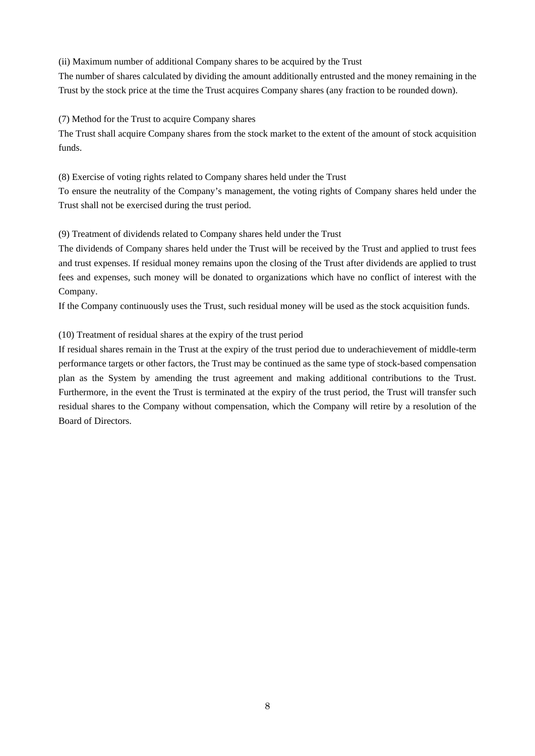(ii) Maximum number of additional Company shares to be acquired by the Trust

The number of shares calculated by dividing the amount additionally entrusted and the money remaining in the Trust by the stock price at the time the Trust acquires Company shares (any fraction to be rounded down).

(7) Method for the Trust to acquire Company shares

The Trust shall acquire Company shares from the stock market to the extent of the amount of stock acquisition funds.

(8) Exercise of voting rights related to Company shares held under the Trust

To ensure the neutrality of the Company's management, the voting rights of Company shares held under the Trust shall not be exercised during the trust period.

(9) Treatment of dividends related to Company shares held under the Trust

The dividends of Company shares held under the Trust will be received by the Trust and applied to trust fees and trust expenses. If residual money remains upon the closing of the Trust after dividends are applied to trust fees and expenses, such money will be donated to organizations which have no conflict of interest with the Company.

If the Company continuously uses the Trust, such residual money will be used as the stock acquisition funds.

(10) Treatment of residual shares at the expiry of the trust period

If residual shares remain in the Trust at the expiry of the trust period due to underachievement of middle-term performance targets or other factors, the Trust may be continued as the same type of stock-based compensation plan as the System by amending the trust agreement and making additional contributions to the Trust. Furthermore, in the event the Trust is terminated at the expiry of the trust period, the Trust will transfer such residual shares to the Company without compensation, which the Company will retire by a resolution of the Board of Directors.